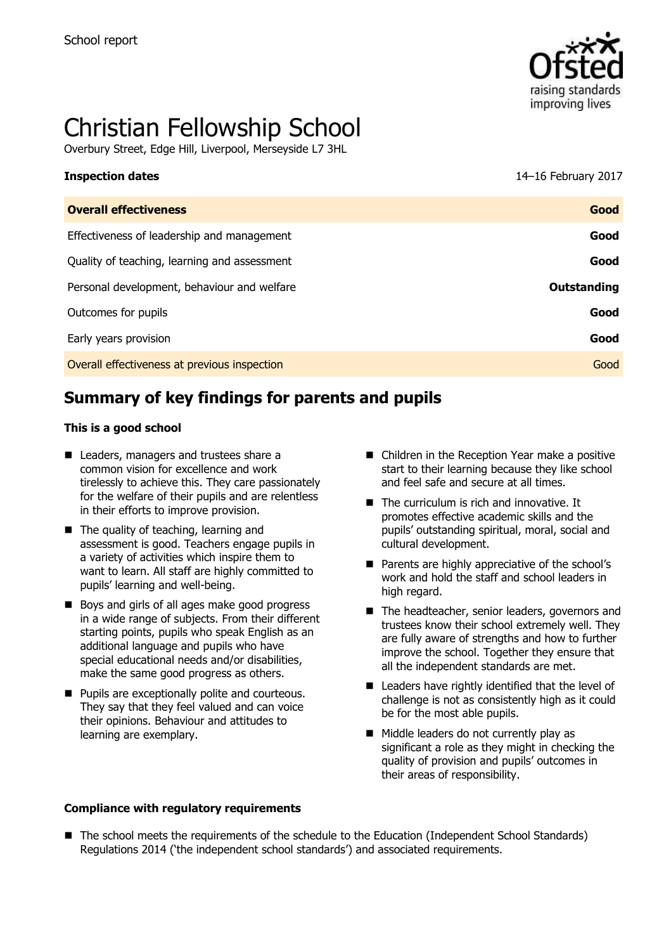

# Christian Fellowship School

Overbury Street, Edge Hill, Liverpool, Merseyside L7 3HL

| <b>Inspection dates</b>                      | 14-16 February 2017 |
|----------------------------------------------|---------------------|
| <b>Overall effectiveness</b>                 | Good                |
| Effectiveness of leadership and management   | Good                |
| Quality of teaching, learning and assessment | Good                |
| Personal development, behaviour and welfare  | Outstanding         |
| Outcomes for pupils                          | Good                |

Early years provision **Good**

Overall effectiveness at previous inspection Good

# **Summary of key findings for parents and pupils**

#### **This is a good school**

- Leaders, managers and trustees share a common vision for excellence and work tirelessly to achieve this. They care passionately for the welfare of their pupils and are relentless in their efforts to improve provision.
- The quality of teaching, learning and assessment is good. Teachers engage pupils in a variety of activities which inspire them to want to learn. All staff are highly committed to pupils' learning and well-being.
- Boys and girls of all ages make good progress in a wide range of subjects. From their different starting points, pupils who speak English as an additional language and pupils who have special educational needs and/or disabilities, make the same good progress as others.
- **Pupils are exceptionally polite and courteous.** They say that they feel valued and can voice their opinions. Behaviour and attitudes to learning are exemplary.

#### ■ Children in the Reception Year make a positive start to their learning because they like school and feel safe and secure at all times.

- The curriculum is rich and innovative. It promotes effective academic skills and the pupils' outstanding spiritual, moral, social and cultural development.
- **Parents are highly appreciative of the school's** work and hold the staff and school leaders in high regard.
- The headteacher, senior leaders, governors and trustees know their school extremely well. They are fully aware of strengths and how to further improve the school. Together they ensure that all the independent standards are met.
- Leaders have rightly identified that the level of challenge is not as consistently high as it could be for the most able pupils.
- Middle leaders do not currently play as significant a role as they might in checking the quality of provision and pupils' outcomes in their areas of responsibility.
- **Compliance with regulatory requirements**
- The school meets the requirements of the schedule to the Education (Independent School Standards) Regulations 2014 ('the independent school standards') and associated requirements.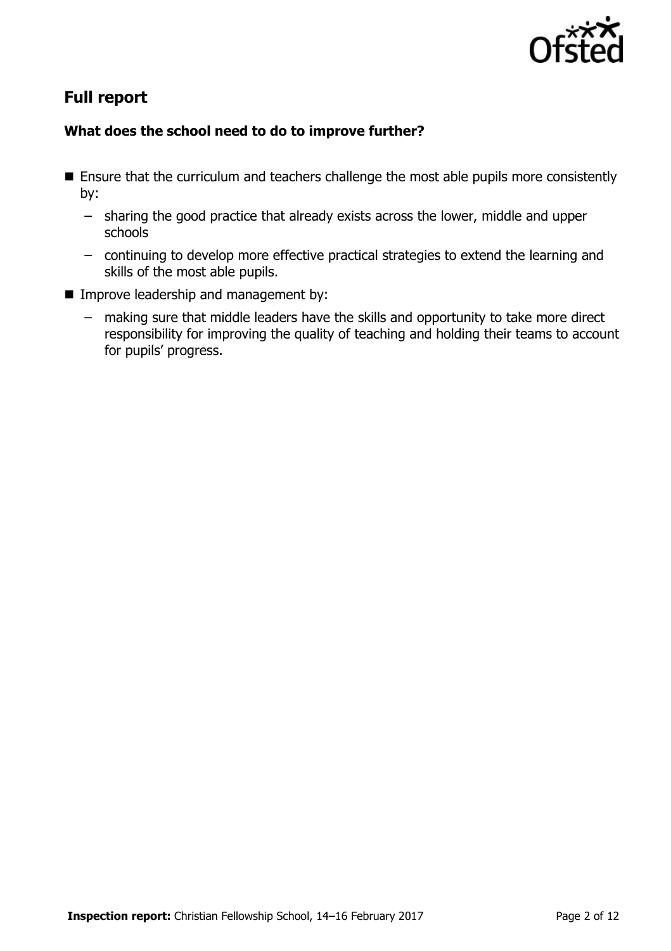

# **Full report**

### **What does the school need to do to improve further?**

- Ensure that the curriculum and teachers challenge the most able pupils more consistently by:
	- sharing the good practice that already exists across the lower, middle and upper schools
	- continuing to develop more effective practical strategies to extend the learning and skills of the most able pupils.
- **IMPROPE Improve leadership and management by:** 
	- making sure that middle leaders have the skills and opportunity to take more direct responsibility for improving the quality of teaching and holding their teams to account for pupils' progress.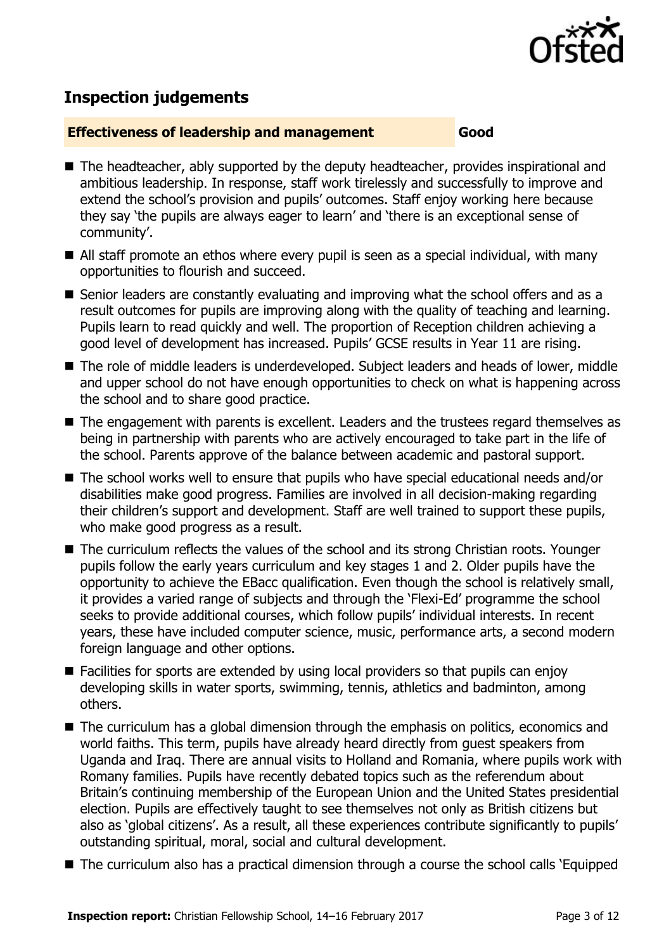

# **Inspection judgements**

#### **Effectiveness of leadership and management Good**

- The headteacher, ably supported by the deputy headteacher, provides inspirational and ambitious leadership. In response, staff work tirelessly and successfully to improve and extend the school's provision and pupils' outcomes. Staff enjoy working here because they say 'the pupils are always eager to learn' and 'there is an exceptional sense of community'.
- All staff promote an ethos where every pupil is seen as a special individual, with many opportunities to flourish and succeed.
- Senior leaders are constantly evaluating and improving what the school offers and as a result outcomes for pupils are improving along with the quality of teaching and learning. Pupils learn to read quickly and well. The proportion of Reception children achieving a good level of development has increased. Pupils' GCSE results in Year 11 are rising.
- The role of middle leaders is underdeveloped. Subject leaders and heads of lower, middle and upper school do not have enough opportunities to check on what is happening across the school and to share good practice.
- The engagement with parents is excellent. Leaders and the trustees regard themselves as being in partnership with parents who are actively encouraged to take part in the life of the school. Parents approve of the balance between academic and pastoral support.
- The school works well to ensure that pupils who have special educational needs and/or disabilities make good progress. Families are involved in all decision-making regarding their children's support and development. Staff are well trained to support these pupils, who make good progress as a result.
- The curriculum reflects the values of the school and its strong Christian roots. Younger pupils follow the early years curriculum and key stages 1 and 2. Older pupils have the opportunity to achieve the EBacc qualification. Even though the school is relatively small, it provides a varied range of subjects and through the 'Flexi-Ed' programme the school seeks to provide additional courses, which follow pupils' individual interests. In recent years, these have included computer science, music, performance arts, a second modern foreign language and other options.
- Facilities for sports are extended by using local providers so that pupils can enjoy developing skills in water sports, swimming, tennis, athletics and badminton, among others.
- The curriculum has a global dimension through the emphasis on politics, economics and world faiths. This term, pupils have already heard directly from guest speakers from Uganda and Iraq. There are annual visits to Holland and Romania, where pupils work with Romany families. Pupils have recently debated topics such as the referendum about Britain's continuing membership of the European Union and the United States presidential election. Pupils are effectively taught to see themselves not only as British citizens but also as 'global citizens'. As a result, all these experiences contribute significantly to pupils' outstanding spiritual, moral, social and cultural development.
- The curriculum also has a practical dimension through a course the school calls 'Equipped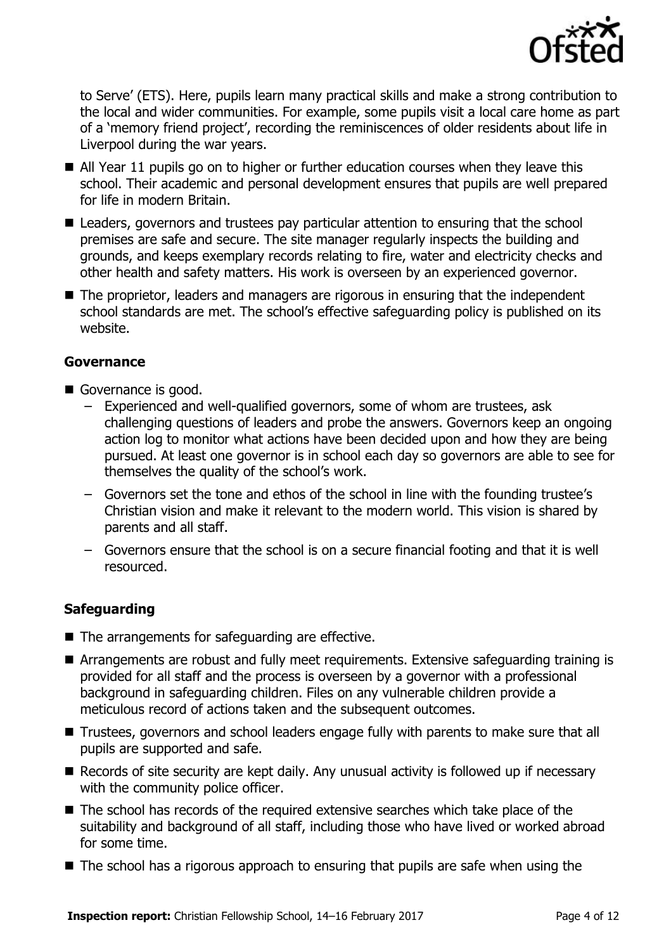

to Serve' (ETS). Here, pupils learn many practical skills and make a strong contribution to the local and wider communities. For example, some pupils visit a local care home as part of a 'memory friend project', recording the reminiscences of older residents about life in Liverpool during the war years.

- All Year 11 pupils go on to higher or further education courses when they leave this school. Their academic and personal development ensures that pupils are well prepared for life in modern Britain.
- Leaders, governors and trustees pay particular attention to ensuring that the school premises are safe and secure. The site manager regularly inspects the building and grounds, and keeps exemplary records relating to fire, water and electricity checks and other health and safety matters. His work is overseen by an experienced governor.
- The proprietor, leaders and managers are rigorous in ensuring that the independent school standards are met. The school's effective safeguarding policy is published on its website.

#### **Governance**

- Governance is good.
	- Experienced and well-qualified governors, some of whom are trustees, ask challenging questions of leaders and probe the answers. Governors keep an ongoing action log to monitor what actions have been decided upon and how they are being pursued. At least one governor is in school each day so governors are able to see for themselves the quality of the school's work.
	- Governors set the tone and ethos of the school in line with the founding trustee's Christian vision and make it relevant to the modern world. This vision is shared by parents and all staff.
	- Governors ensure that the school is on a secure financial footing and that it is well resourced.

### **Safeguarding**

- The arrangements for safeguarding are effective.
- **E** Arrangements are robust and fully meet requirements. Extensive safeguarding training is provided for all staff and the process is overseen by a governor with a professional background in safeguarding children. Files on any vulnerable children provide a meticulous record of actions taken and the subsequent outcomes.
- Trustees, governors and school leaders engage fully with parents to make sure that all pupils are supported and safe.
- Records of site security are kept daily. Any unusual activity is followed up if necessary with the community police officer.
- The school has records of the required extensive searches which take place of the suitability and background of all staff, including those who have lived or worked abroad for some time.
- The school has a rigorous approach to ensuring that pupils are safe when using the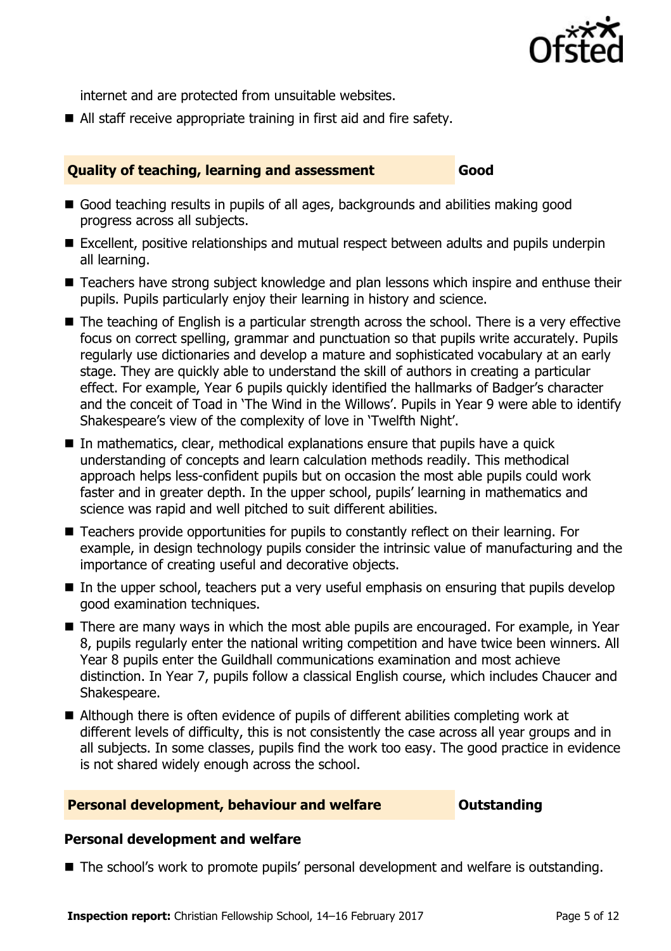

internet and are protected from unsuitable websites.

All staff receive appropriate training in first aid and fire safety.

#### **Quality of teaching, learning and assessment Good**

- Good teaching results in pupils of all ages, backgrounds and abilities making good progress across all subjects.
- Excellent, positive relationships and mutual respect between adults and pupils underpin all learning.
- Teachers have strong subject knowledge and plan lessons which inspire and enthuse their pupils. Pupils particularly enjoy their learning in history and science.
- The teaching of English is a particular strength across the school. There is a very effective focus on correct spelling, grammar and punctuation so that pupils write accurately. Pupils regularly use dictionaries and develop a mature and sophisticated vocabulary at an early stage. They are quickly able to understand the skill of authors in creating a particular effect. For example, Year 6 pupils quickly identified the hallmarks of Badger's character and the conceit of Toad in 'The Wind in the Willows'. Pupils in Year 9 were able to identify Shakespeare's view of the complexity of love in 'Twelfth Night'.
- In mathematics, clear, methodical explanations ensure that pupils have a quick understanding of concepts and learn calculation methods readily. This methodical approach helps less-confident pupils but on occasion the most able pupils could work faster and in greater depth. In the upper school, pupils' learning in mathematics and science was rapid and well pitched to suit different abilities.
- Teachers provide opportunities for pupils to constantly reflect on their learning. For example, in design technology pupils consider the intrinsic value of manufacturing and the importance of creating useful and decorative objects.
- In the upper school, teachers put a very useful emphasis on ensuring that pupils develop good examination techniques.
- There are many ways in which the most able pupils are encouraged. For example, in Year 8, pupils regularly enter the national writing competition and have twice been winners. All Year 8 pupils enter the Guildhall communications examination and most achieve distinction. In Year 7, pupils follow a classical English course, which includes Chaucer and Shakespeare.
- Although there is often evidence of pupils of different abilities completing work at different levels of difficulty, this is not consistently the case across all year groups and in all subjects. In some classes, pupils find the work too easy. The good practice in evidence is not shared widely enough across the school.

#### **Personal development, behaviour and welfare <b>COUTS** Outstanding

#### **Personal development and welfare**

■ The school's work to promote pupils' personal development and welfare is outstanding.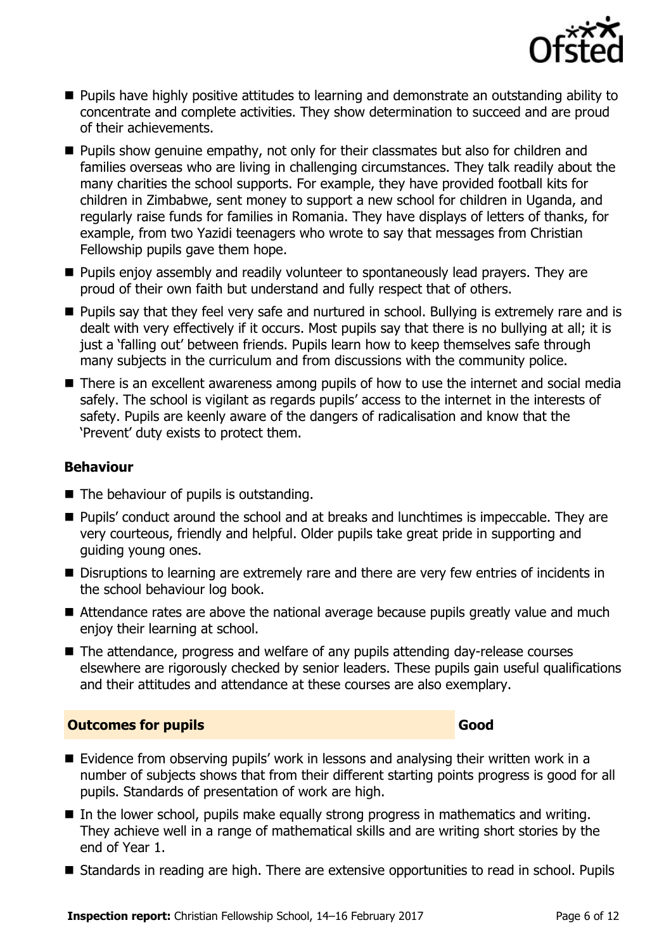

- **Pupils have highly positive attitudes to learning and demonstrate an outstanding ability to** concentrate and complete activities. They show determination to succeed and are proud of their achievements.
- **Pupils show genuine empathy, not only for their classmates but also for children and** families overseas who are living in challenging circumstances. They talk readily about the many charities the school supports. For example, they have provided football kits for children in Zimbabwe, sent money to support a new school for children in Uganda, and regularly raise funds for families in Romania. They have displays of letters of thanks, for example, from two Yazidi teenagers who wrote to say that messages from Christian Fellowship pupils gave them hope.
- **Pupils enjoy assembly and readily volunteer to spontaneously lead prayers. They are** proud of their own faith but understand and fully respect that of others.
- **Pupils say that they feel very safe and nurtured in school. Bullying is extremely rare and is** dealt with very effectively if it occurs. Most pupils say that there is no bullying at all; it is just a 'falling out' between friends. Pupils learn how to keep themselves safe through many subjects in the curriculum and from discussions with the community police.
- There is an excellent awareness among pupils of how to use the internet and social media safely. The school is vigilant as regards pupils' access to the internet in the interests of safety. Pupils are keenly aware of the dangers of radicalisation and know that the 'Prevent' duty exists to protect them.

#### **Behaviour**

- $\blacksquare$  The behaviour of pupils is outstanding.
- Pupils' conduct around the school and at breaks and lunchtimes is impeccable. They are very courteous, friendly and helpful. Older pupils take great pride in supporting and guiding young ones.
- Disruptions to learning are extremely rare and there are very few entries of incidents in the school behaviour log book.
- Attendance rates are above the national average because pupils greatly value and much enjoy their learning at school.
- The attendance, progress and welfare of any pupils attending day-release courses elsewhere are rigorously checked by senior leaders. These pupils gain useful qualifications and their attitudes and attendance at these courses are also exemplary.

### **Outcomes for pupils Good**

- Evidence from observing pupils' work in lessons and analysing their written work in a number of subjects shows that from their different starting points progress is good for all pupils. Standards of presentation of work are high.
- In the lower school, pupils make equally strong progress in mathematics and writing. They achieve well in a range of mathematical skills and are writing short stories by the end of Year 1.
- Standards in reading are high. There are extensive opportunities to read in school. Pupils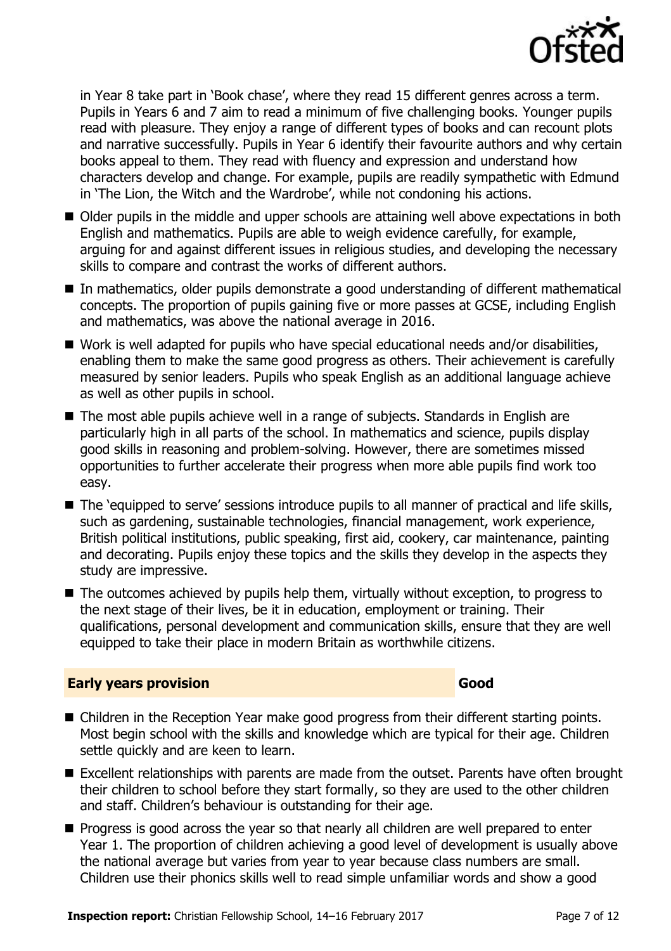

in Year 8 take part in 'Book chase', where they read 15 different genres across a term. Pupils in Years 6 and 7 aim to read a minimum of five challenging books. Younger pupils read with pleasure. They enjoy a range of different types of books and can recount plots and narrative successfully. Pupils in Year 6 identify their favourite authors and why certain books appeal to them. They read with fluency and expression and understand how characters develop and change. For example, pupils are readily sympathetic with Edmund in 'The Lion, the Witch and the Wardrobe', while not condoning his actions.

- Older pupils in the middle and upper schools are attaining well above expectations in both English and mathematics. Pupils are able to weigh evidence carefully, for example, arguing for and against different issues in religious studies, and developing the necessary skills to compare and contrast the works of different authors.
- In mathematics, older pupils demonstrate a good understanding of different mathematical concepts. The proportion of pupils gaining five or more passes at GCSE, including English and mathematics, was above the national average in 2016.
- Work is well adapted for pupils who have special educational needs and/or disabilities, enabling them to make the same good progress as others. Their achievement is carefully measured by senior leaders. Pupils who speak English as an additional language achieve as well as other pupils in school.
- The most able pupils achieve well in a range of subjects. Standards in English are particularly high in all parts of the school. In mathematics and science, pupils display good skills in reasoning and problem-solving. However, there are sometimes missed opportunities to further accelerate their progress when more able pupils find work too easy.
- The 'equipped to serve' sessions introduce pupils to all manner of practical and life skills, such as gardening, sustainable technologies, financial management, work experience, British political institutions, public speaking, first aid, cookery, car maintenance, painting and decorating. Pupils enjoy these topics and the skills they develop in the aspects they study are impressive.
- The outcomes achieved by pupils help them, virtually without exception, to progress to the next stage of their lives, be it in education, employment or training. Their qualifications, personal development and communication skills, ensure that they are well equipped to take their place in modern Britain as worthwhile citizens.

#### **Early years provision Good Good**

- Children in the Reception Year make good progress from their different starting points. Most begin school with the skills and knowledge which are typical for their age. Children settle quickly and are keen to learn.
- Excellent relationships with parents are made from the outset. Parents have often brought their children to school before they start formally, so they are used to the other children and staff. Children's behaviour is outstanding for their age.
- **Progress is good across the year so that nearly all children are well prepared to enter** Year 1. The proportion of children achieving a good level of development is usually above the national average but varies from year to year because class numbers are small. Children use their phonics skills well to read simple unfamiliar words and show a good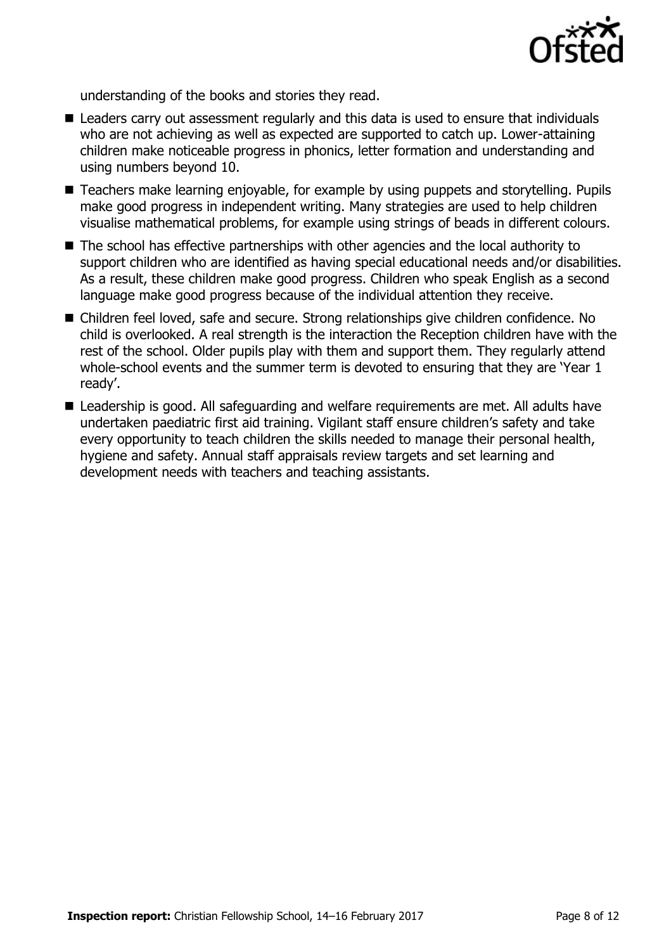

understanding of the books and stories they read.

- Leaders carry out assessment regularly and this data is used to ensure that individuals who are not achieving as well as expected are supported to catch up. Lower-attaining children make noticeable progress in phonics, letter formation and understanding and using numbers beyond 10.
- Teachers make learning enjoyable, for example by using puppets and storytelling. Pupils make good progress in independent writing. Many strategies are used to help children visualise mathematical problems, for example using strings of beads in different colours.
- The school has effective partnerships with other agencies and the local authority to support children who are identified as having special educational needs and/or disabilities. As a result, these children make good progress. Children who speak English as a second language make good progress because of the individual attention they receive.
- Children feel loved, safe and secure. Strong relationships give children confidence. No child is overlooked. A real strength is the interaction the Reception children have with the rest of the school. Older pupils play with them and support them. They regularly attend whole-school events and the summer term is devoted to ensuring that they are 'Year 1 ready'.
- Leadership is good. All safeguarding and welfare requirements are met. All adults have undertaken paediatric first aid training. Vigilant staff ensure children's safety and take every opportunity to teach children the skills needed to manage their personal health, hygiene and safety. Annual staff appraisals review targets and set learning and development needs with teachers and teaching assistants.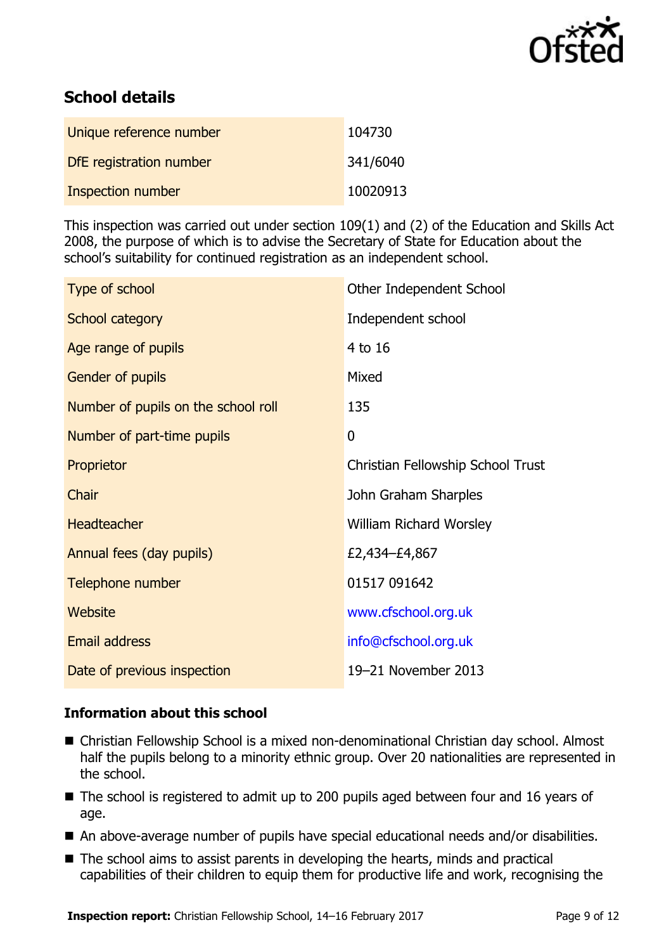

# **School details**

| Unique reference number | 104730   |
|-------------------------|----------|
| DfE registration number | 341/6040 |
| Inspection number       | 10020913 |

This inspection was carried out under section 109(1) and (2) of the Education and Skills Act 2008, the purpose of which is to advise the Secretary of State for Education about the school's suitability for continued registration as an independent school.

| Type of school                      | Other Independent School          |
|-------------------------------------|-----------------------------------|
| School category                     | Independent school                |
| Age range of pupils                 | 4 to 16                           |
| Gender of pupils                    | Mixed                             |
| Number of pupils on the school roll | 135                               |
| Number of part-time pupils          | 0                                 |
| Proprietor                          | Christian Fellowship School Trust |
| Chair                               | John Graham Sharples              |
| <b>Headteacher</b>                  | William Richard Worsley           |
| Annual fees (day pupils)            | £2,434-£4,867                     |
| Telephone number                    | 01517 091642                      |
| Website                             | www.cfschool.org.uk               |
| <b>Email address</b>                | info@cfschool.org.uk              |
| Date of previous inspection         | 19-21 November 2013               |

### **Information about this school**

- Christian Fellowship School is a mixed non-denominational Christian day school. Almost half the pupils belong to a minority ethnic group. Over 20 nationalities are represented in the school.
- The school is registered to admit up to 200 pupils aged between four and 16 years of age.
- An above-average number of pupils have special educational needs and/or disabilities.
- The school aims to assist parents in developing the hearts, minds and practical capabilities of their children to equip them for productive life and work, recognising the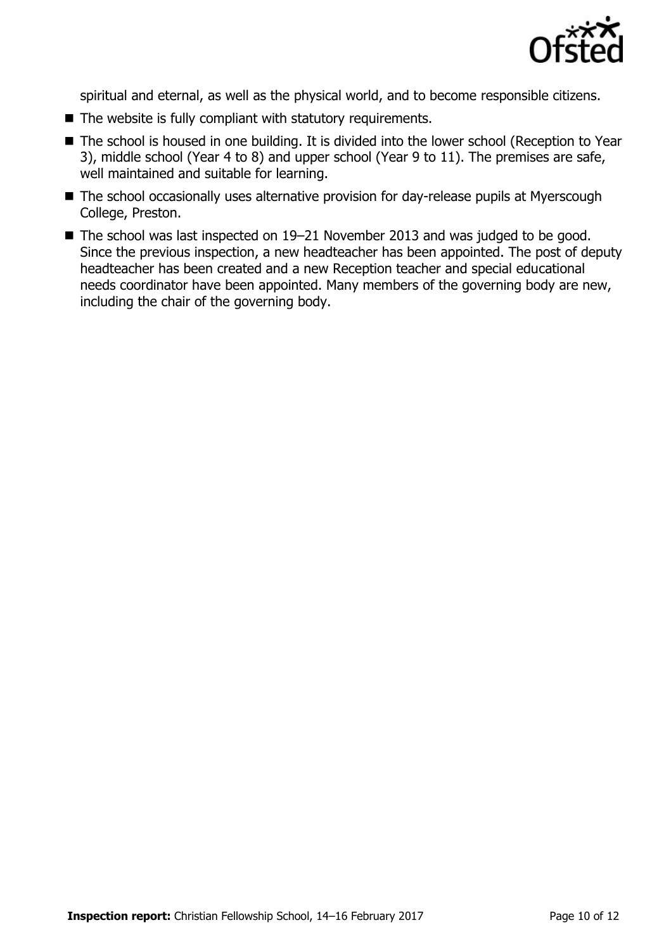

spiritual and eternal, as well as the physical world, and to become responsible citizens.

- $\blacksquare$  The website is fully compliant with statutory requirements.
- The school is housed in one building. It is divided into the lower school (Reception to Year 3), middle school (Year 4 to 8) and upper school (Year 9 to 11). The premises are safe, well maintained and suitable for learning.
- The school occasionally uses alternative provision for day-release pupils at Myerscough College, Preston.
- The school was last inspected on 19–21 November 2013 and was judged to be good. Since the previous inspection, a new headteacher has been appointed. The post of deputy headteacher has been created and a new Reception teacher and special educational needs coordinator have been appointed. Many members of the governing body are new, including the chair of the governing body.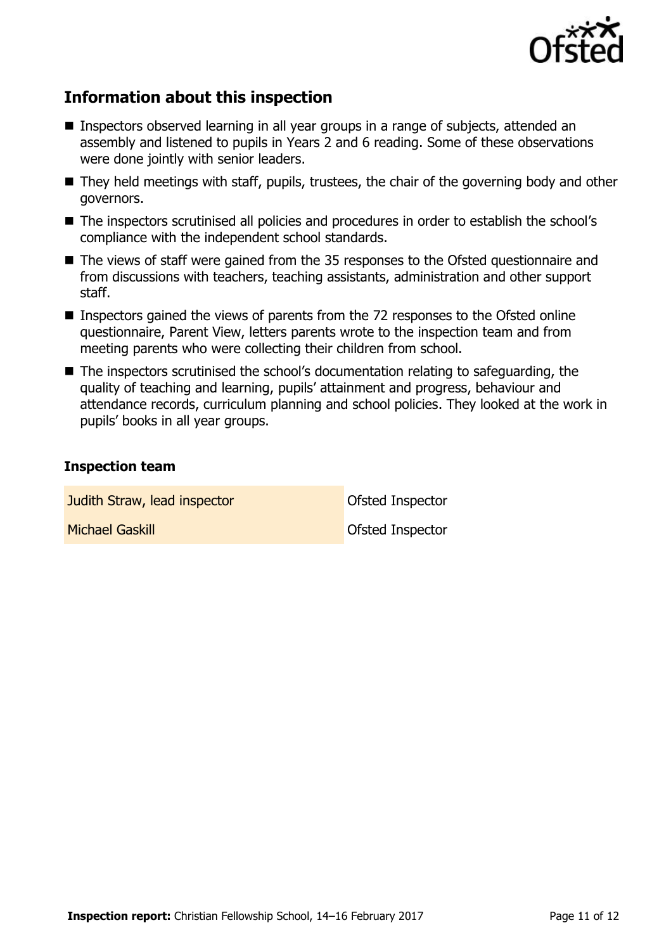

# **Information about this inspection**

- Inspectors observed learning in all year groups in a range of subjects, attended an assembly and listened to pupils in Years 2 and 6 reading. Some of these observations were done jointly with senior leaders.
- They held meetings with staff, pupils, trustees, the chair of the governing body and other governors.
- The inspectors scrutinised all policies and procedures in order to establish the school's compliance with the independent school standards.
- The views of staff were gained from the 35 responses to the Ofsted questionnaire and from discussions with teachers, teaching assistants, administration and other support staff.
- Inspectors gained the views of parents from the 72 responses to the Ofsted online questionnaire, Parent View, letters parents wrote to the inspection team and from meeting parents who were collecting their children from school.
- The inspectors scrutinised the school's documentation relating to safeguarding, the quality of teaching and learning, pupils' attainment and progress, behaviour and attendance records, curriculum planning and school policies. They looked at the work in pupils' books in all year groups.

#### **Inspection team**

**Judith Straw, lead inspector Construction** Ofsted Inspector

**Michael Gaskill Community Community** Ofsted Inspector